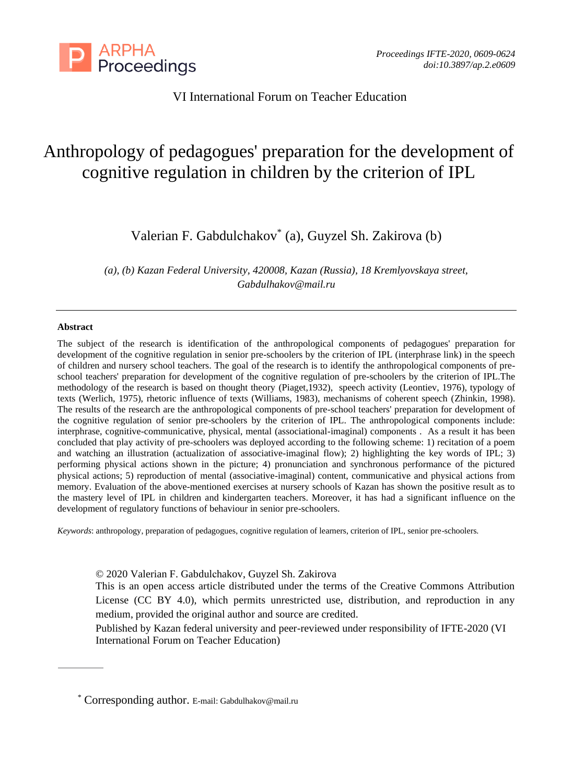

VI International Forum on Teacher Education

# Anthropology of pedagogues' preparation for the development of cognitive regulation in children by the criterion of IPL

Valerian F. Gabdulсhakov\* (a), Guyzel Sh. Zakirova (b)

*(a), (b) Kazan Federal University, 420008, Kazan (Russia), 18 Kremlyovskaya street, Gabdulhakov@mail.ru*

#### **Abstract**

The subject of the research is identification of the anthropological components of pedagogues' preparation for development of the cognitive regulation in senior pre-schoolers by the criterion of IPL (interphrase link) in the speech of children and nursery school teachers. The goal of the research is to identify the anthropological components of preschool teachers' preparation for development of the cognitive regulation of pre-schoolers by the criterion of IPL.The methodology of the research is based on thought theory (Piaget,1932), speech activity (Leontiev, 1976), typology of texts (Werlich, 1975), rhetoric influence of texts (Williams, 1983), mechanisms of coherent speech (Zhinkin, 1998). The results of the research are the anthropological components of pre-school teachers' preparation for development of the cognitive regulation of senior pre-schoolers by the criterion of IPL. The anthropological components include: interphrase, cognitive-communicative, physical, mental (associational-imaginal) components . As a result it has been concluded that play activity of pre-schoolers was deployed according to the following scheme: 1) recitation of a poem and watching an illustration (actualization of associative-imaginal flow); 2) highlighting the key words of IPL; 3) performing physical actions shown in the picture; 4) pronunciation and synchronous performance of the pictured physical actions; 5) reproduction of mental (associative-imaginal) content, communicative and physical actions from memory. Evaluation of the above-mentioned exercises at nursery schools of Kazan has shown the positive result as to the mastery level of IPL in children and kindergarten teachers. Moreover, it has had a significant influence on the development of regulatory functions of behaviour in senior pre-schoolers.

*Keywords*: anthropology, preparation of pedagogues, cognitive regulation of learners, criterion of IPL, senior pre-schoolers.

© 2020 Valerian F. Gabdulсhakov, Guyzel Sh. Zakirova

This is an open access article distributed under the terms of the Creative Commons Attribution License (CC BY 4.0), which permits unrestricted use, distribution, and reproduction in any medium, provided the original author and source are credited.

Published by Kazan federal university and peer-reviewed under responsibility of IFTE-2020 (VI International Forum on Teacher Education)

<sup>\*</sup> Corresponding author. E-mail: Gabdulhakov@mail.ru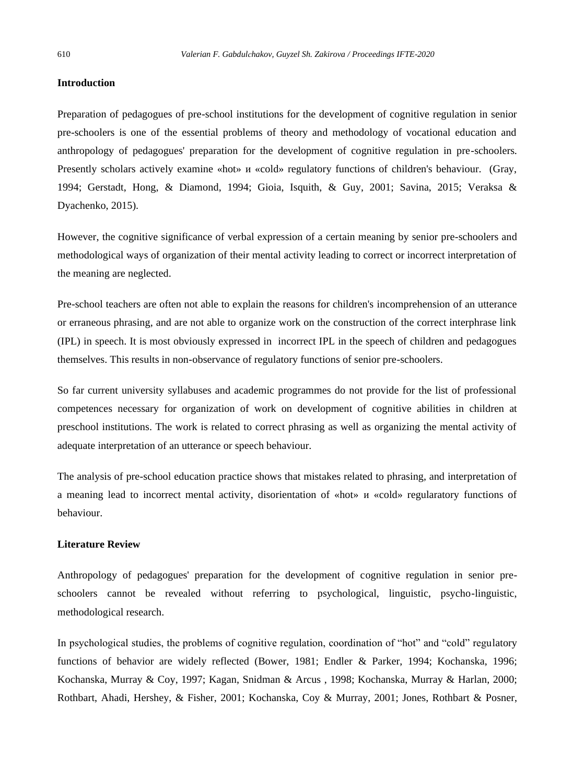## **Introduction**

Preparation of pedagogues of pre-school institutions for the development of cognitive regulation in senior pre-schoolers is one of the essential problems of theory and methodology of vocational education and anthropology of pedagogues' preparation for the development of cognitive regulation in pre-schoolers. Presently scholars actively examine «hot» и «cold» regulatory functions of children's behaviour. (Gray, 1994; Gerstadt, Hong, & Diamond, 1994; Gioia, Isquith, & Guy, 2001; Savina, 2015; Veraksa & Dyachenko, 2015).

However, the cognitive significance of verbal expression of a certain meaning by senior pre-schoolers and methodological ways of organization of their mental activity leading to correct or incorrect interpretation of the meaning are neglected.

Pre-school teachers are often not able to explain the reasons for children's incomprehension of an utterance or erraneous phrasing, and are not able to organize work on the construction of the correct interphrase link (IPL) in speech. It is most obviously expressed in incorrect IPL in the speech of children and pedagogues themselves. This results in non-observance of regulatory functions of senior pre-schoolers.

So far current university syllabuses and academic programmes do not provide for the list of professional competences necessary for organization of work on development of cognitive abilities in children at preschool institutions. The work is related to correct phrasing as well as organizing the mental activity of adequate interpretation of an utterance or speech behaviour.

The analysis of pre-school education practice shows that mistakes related to phrasing, and interpretation of a meaning lead to incorrect mental activity, disorientation of «hot» и «cold» regularatory functions of behaviour.

## **Literature Review**

Anthropology of pedagogues' preparation for the development of cognitive regulation in senior preschoolers cannot be revealed without referring to psychological, linguistic, psycho-linguistic, methodological research.

In psychological studies, the problems of cognitive regulation, coordination of "hot" and "cold" regulatory functions of behavior are widely reflected (Bower, 1981; Endler & Parker, 1994; Kochanska, 1996; Kochanska, Murray & Coy, 1997; Kagan, Snidman & Arcus , 1998; Kochanska, Murray & Harlan, 2000; Rothbart, Ahadi, Hershey, & Fisher, 2001; Kochanska, Coy & Murray, 2001; Jones, Rothbart & Posner,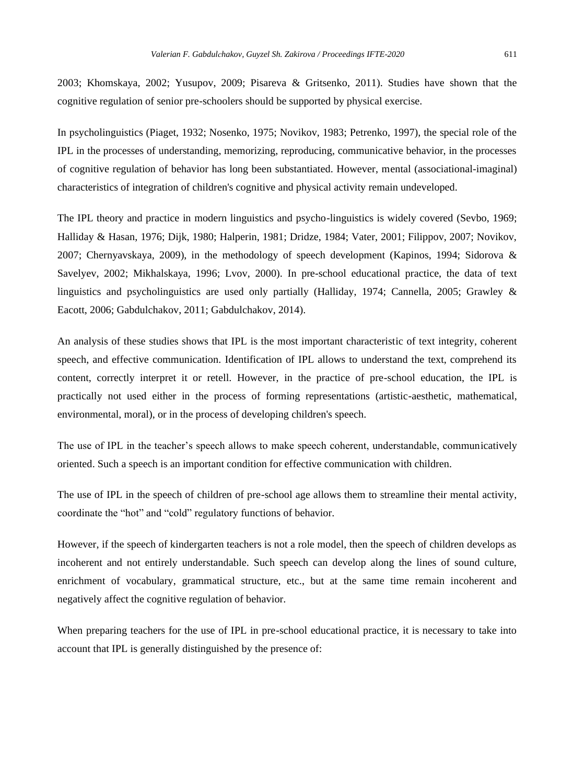2003; Khomskaya, 2002; Yusupov, 2009; Pisareva & Gritsenko, 2011). Studies have shown that the cognitive regulation of senior pre-schoolers should be supported by physical exercise.

In psycholinguistics (Piaget, 1932; Nosenko, 1975; Novikov, 1983; Petrenko, 1997), the special role of the IPL in the processes of understanding, memorizing, reproducing, communicative behavior, in the processes of cognitive regulation of behavior has long been substantiated. However, mental (associational-imaginal) characteristics of integration of children's cognitive and physical activity remain undeveloped.

The IPL theory and practice in modern linguistics and psycho-linguistics is widely covered (Sevbo, 1969; Halliday & Hasan, 1976; Dijk, 1980; Halperin, 1981; Dridze, 1984; Vater, 2001; Filippov, 2007; Novikov, 2007; Chernyavskaya, 2009), in the methodology of speech development (Kapinos, 1994; Sidorova & Savelyev, 2002; Mikhalskaya, 1996; Lvov, 2000). In pre-school educational practice, the data of text linguistics and psycholinguistics are used only partially (Halliday, 1974; Cannella, 2005; Grawley & Eacott, 2006; Gabdulchakov, 2011; Gabdulchakov, 2014).

An analysis of these studies shows that IPL is the most important characteristic of text integrity, coherent speech, and effective communication. Identification of IPL allows to understand the text, comprehend its content, correctly interpret it or retell. However, in the practice of pre-school education, the IPL is practically not used either in the process of forming representations (artistic-aesthetic, mathematical, environmental, moral), or in the process of developing children's speech.

The use of IPL in the teacher's speech allows to make speech coherent, understandable, communicatively oriented. Such a speech is an important condition for effective communication with children.

The use of IPL in the speech of children of pre-school age allows them to streamline their mental activity, coordinate the "hot" and "cold" regulatory functions of behavior.

However, if the speech of kindergarten teachers is not a role model, then the speech of children develops as incoherent and not entirely understandable. Such speech can develop along the lines of sound culture, enrichment of vocabulary, grammatical structure, etc., but at the same time remain incoherent and negatively affect the cognitive regulation of behavior.

When preparing teachers for the use of IPL in pre-school educational practice, it is necessary to take into account that IPL is generally distinguished by the presence of: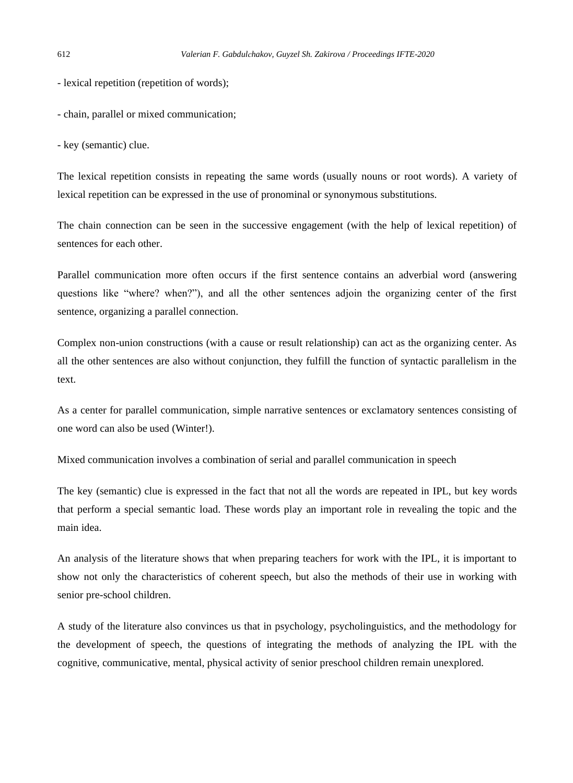- lexical repetition (repetition of words);

- chain, parallel or mixed communication;

- key (semantic) clue.

The lexical repetition consists in repeating the same words (usually nouns or root words). A variety of lexical repetition can be expressed in the use of pronominal or synonymous substitutions.

The chain connection can be seen in the successive engagement (with the help of lexical repetition) of sentences for each other.

Parallel communication more often occurs if the first sentence contains an adverbial word (answering questions like "where? when?"), and all the other sentences adjoin the organizing center of the first sentence, organizing a parallel connection.

Complex non-union constructions (with a cause or result relationship) can act as the organizing center. As all the other sentences are also without conjunction, they fulfill the function of syntactic parallelism in the text.

As a center for parallel communication, simple narrative sentences or exclamatory sentences consisting of one word can also be used (Winter!).

Mixed communication involves a combination of serial and parallel communication in speech

The key (semantic) clue is expressed in the fact that not all the words are repeated in IPL, but key words that perform a special semantic load. These words play an important role in revealing the topic and the main idea.

An analysis of the literature shows that when preparing teachers for work with the IPL, it is important to show not only the characteristics of coherent speech, but also the methods of their use in working with senior pre-school children.

A study of the literature also convinces us that in psychology, psycholinguistics, and the methodology for the development of speech, the questions of integrating the methods of analyzing the IPL with the cognitive, communicative, mental, physical activity of senior preschool children remain unexplored.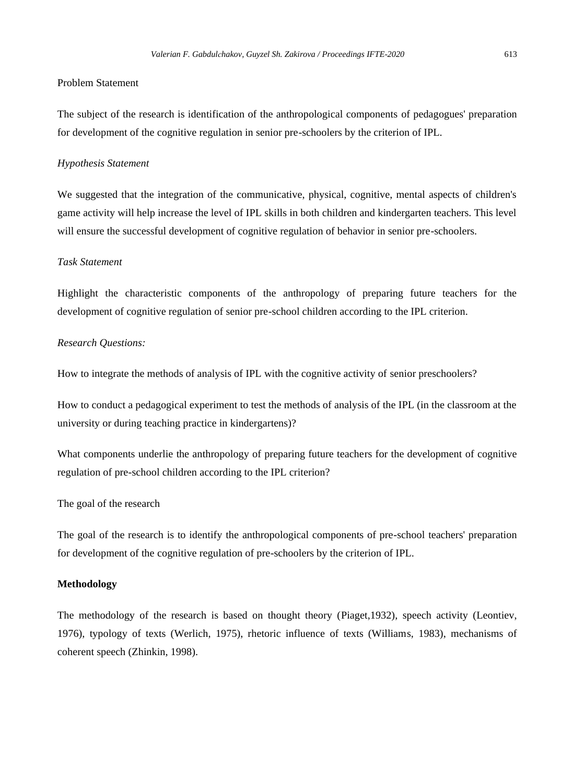## Problem Statement

The subject of the research is identification of the anthropological components of pedagogues' preparation for development of the cognitive regulation in senior pre-schoolers by the criterion of IPL.

## *Hypothesis Statement*

We suggested that the integration of the communicative, physical, cognitive, mental aspects of children's game activity will help increase the level of IPL skills in both children and kindergarten teachers. This level will ensure the successful development of cognitive regulation of behavior in senior pre-schoolers.

## *Task Statement*

Highlight the characteristic components of the anthropology of preparing future teachers for the development of cognitive regulation of senior pre-school children according to the IPL criterion.

## *Research Questions:*

How to integrate the methods of analysis of IPL with the cognitive activity of senior preschoolers?

How to conduct a pedagogical experiment to test the methods of analysis of the IPL (in the classroom at the university or during teaching practice in kindergartens)?

What components underlie the anthropology of preparing future teachers for the development of cognitive regulation of pre-school children according to the IPL criterion?

## The goal of the research

The goal of the research is to identify the anthropological components of pre-school teachers' preparation for development of the cognitive regulation of pre-schoolers by the criterion of IPL.

#### **Methodology**

The methodology of the research is based on thought theory (Piaget,1932), speech activity (Leontiev, 1976), typology of texts (Werlich, 1975), rhetoric influence of texts (Williams, 1983), mechanisms of coherent speech (Zhinkin, 1998).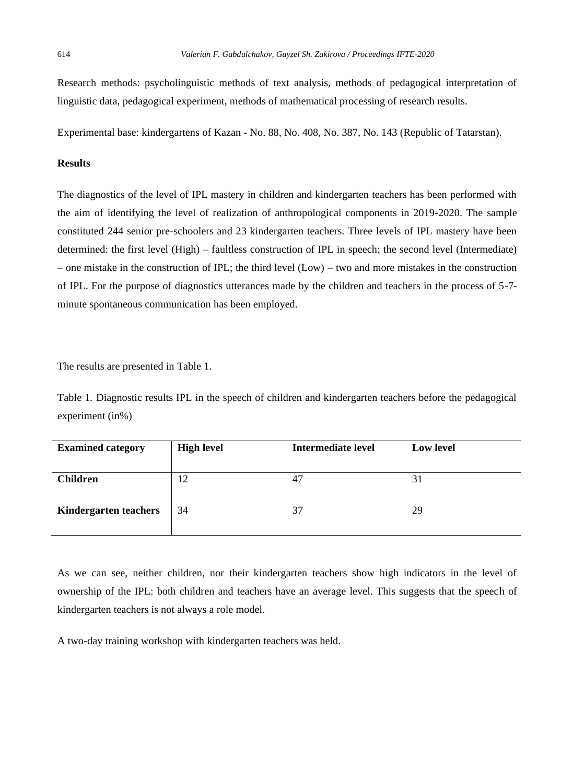Research methods: psycholinguistic methods of text analysis, methods of pedagogical interpretation of linguistic data, pedagogical experiment, methods of mathematical processing of research results.

Experimental base: kindergartens of Kazan - No. 88, No. 408, No. 387, No. 143 (Republic of Tatarstan).

## **Results**

The diagnostics of the level of IPL mastery in children and kindergarten teachers has been performed with the aim of identifying the level of realization of anthropological components in 2019-2020. The sample constituted 244 senior pre-schoolers and 23 kindergarten teachers. Three levels of IPL mastery have been determined: the first level (High) – faultless construction of IPL in speech; the second level (Intermediate) – one mistake in the construction of IPL; the third level (Low) – two and more mistakes in the construction of IPL. For the purpose of diagnostics utterances made by the children and teachers in the process of 5-7 minute spontaneous communication has been employed.

The results are presented in Table 1.

Table 1*.* Diagnostic results IPL in the speech of children and kindergarten teachers before the pedagogical experiment (in%)

| <b>Examined category</b>     | <b>High level</b> | Intermediate level | <b>Low level</b> |
|------------------------------|-------------------|--------------------|------------------|
| <b>Children</b>              | 12                | 47                 | 31               |
|                              |                   |                    |                  |
| <b>Kindergarten teachers</b> | 34                | 37                 | 29               |
|                              |                   |                    |                  |

As we can see, neither children, nor their kindergarten teachers show high indicators in the level of ownership of the IPL: both children and teachers have an average level. This suggests that the speech of kindergarten teachers is not always a role model.

A two-day training workshop with kindergarten teachers was held.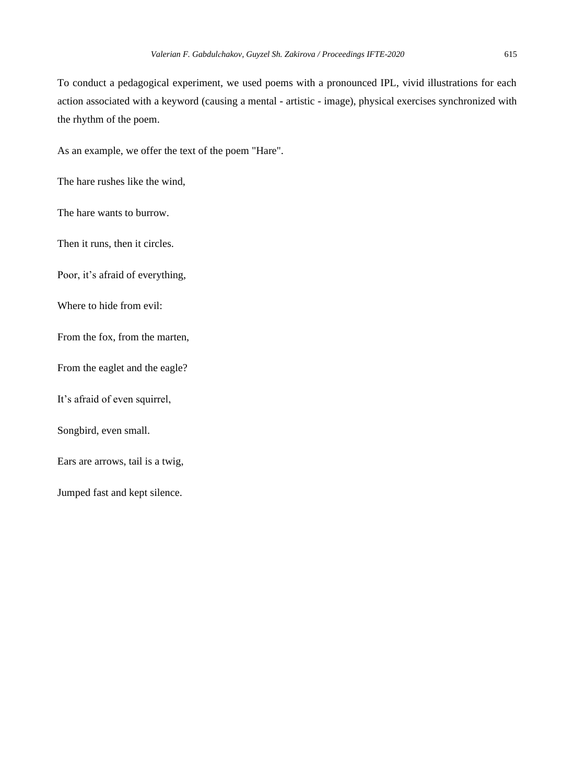To conduct a pedagogical experiment, we used poems with a pronounced IPL, vivid illustrations for each action associated with a keyword (causing a mental - artistic - image), physical exercises synchronized with the rhythm of the poem.

As an example, we offer the text of the poem "Hare".

The hare rushes like the wind,

The hare wants to burrow.

Then it runs, then it circles.

Poor, it's afraid of everything,

Where to hide from evil:

From the fox, from the marten,

From the eaglet and the eagle?

It's afraid of even squirrel,

Songbird, even small.

Ears are arrows, tail is a twig,

Jumped fast and kept silence.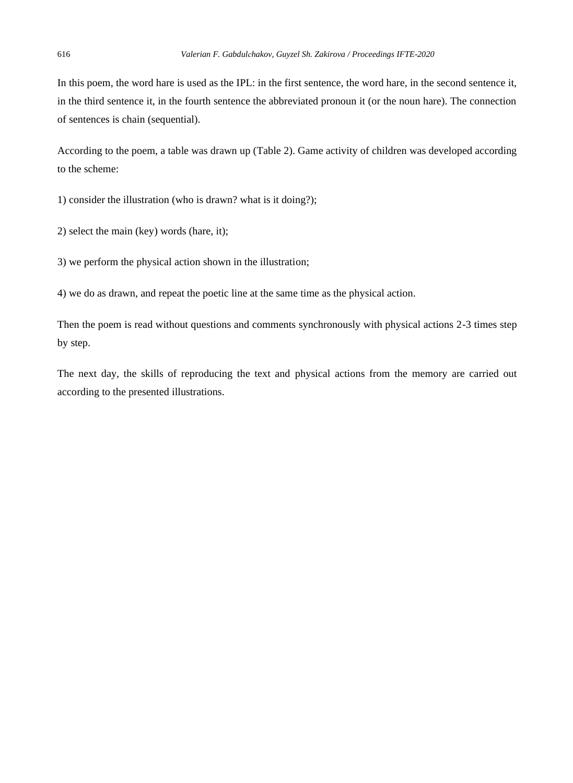In this poem, the word hare is used as the IPL: in the first sentence, the word hare, in the second sentence it, in the third sentence it, in the fourth sentence the abbreviated pronoun it (or the noun hare). The connection of sentences is chain (sequential).

According to the poem, a table was drawn up (Table 2). Game activity of children was developed according to the scheme:

1) consider the illustration (who is drawn? what is it doing?);

2) select the main (key) words (hare, it);

3) we perform the physical action shown in the illustration;

4) we do as drawn, and repeat the poetic line at the same time as the physical action.

Then the poem is read without questions and comments synchronously with physical actions 2-3 times step by step.

The next day, the skills of reproducing the text and physical actions from the memory are carried out according to the presented illustrations.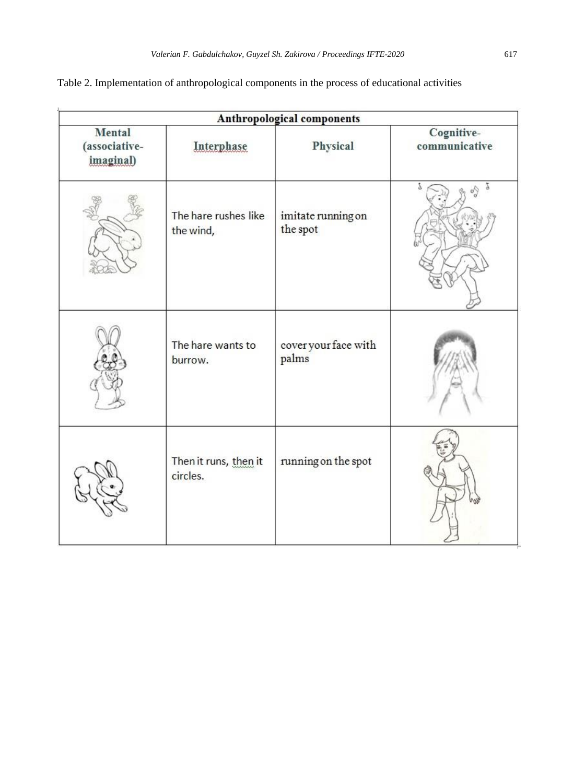| Table 2. Implementation of anthropological components in the process of educational activities |  |  |
|------------------------------------------------------------------------------------------------|--|--|
|                                                                                                |  |  |

| Anthropological components                  |                                   |                                |                             |
|---------------------------------------------|-----------------------------------|--------------------------------|-----------------------------|
| <b>Mental</b><br>(associative-<br>imaginal) | Interphase                        | Physical                       | Cognitive-<br>communicative |
|                                             | The hare rushes like<br>the wind, | imitate running on<br>the spot |                             |
|                                             | The hare wants to<br>burrow.      | cover your face with<br>palms  |                             |
|                                             | Then it runs, then it<br>circles. | running on the spot            |                             |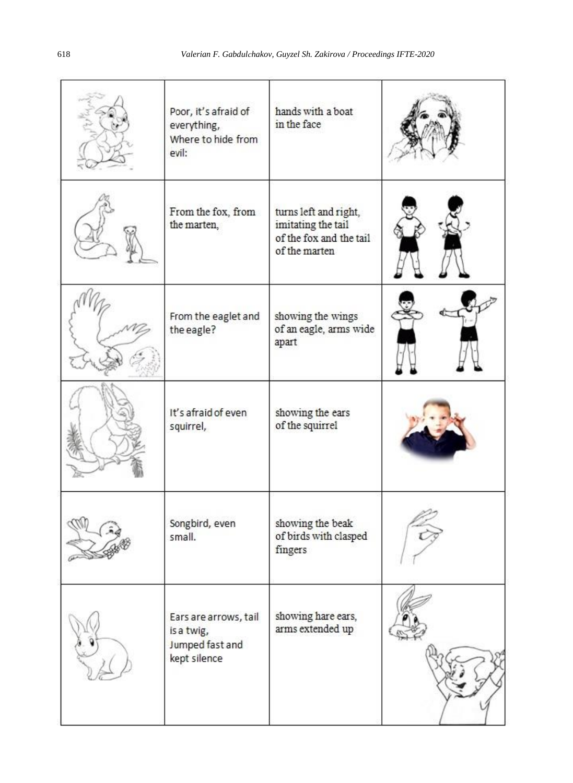|        | Poor, it's afraid of<br>everything,<br>Where to hide from<br>evil:     | hands with a boat<br>in the face                                                        |  |
|--------|------------------------------------------------------------------------|-----------------------------------------------------------------------------------------|--|
|        | From the fox, from<br>the marten,                                      | turns left and right,<br>imitating the tail<br>of the fox and the tail<br>of the marten |  |
|        | From the eaglet and<br>the eagle?                                      | showing the wings<br>of an eagle, arms wide<br>apart                                    |  |
|        | It's afraid of even<br>squirrel,                                       | showing the ears<br>of the squirrel                                                     |  |
| answer | Songbird, even<br>small.                                               | showing the beak<br>of birds with clasped<br>fingers                                    |  |
|        | Ears are arrows, tail<br>is a twig,<br>Jumped fast and<br>kept silence | showing hare ears,<br>arms extended up                                                  |  |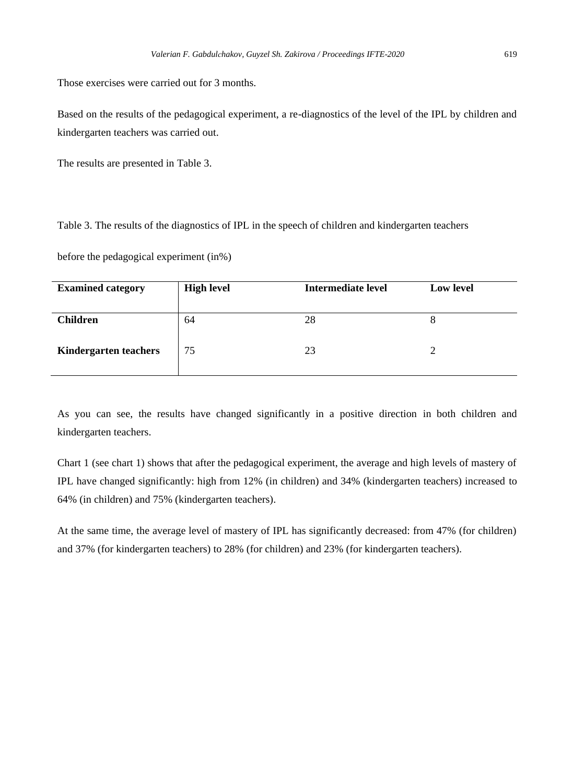Those exercises were carried out for 3 months.

Based on the results of the pedagogical experiment, a re-diagnostics of the level of the IPL by children and kindergarten teachers was carried out.

The results are presented in Table 3.

Table 3. The results of the diagnostics of IPL in the speech of children and kindergarten teachers

before the pedagogical experiment (in%)

| <b>Examined category</b>     | <b>High level</b> | Intermediate level | <b>Low level</b> |
|------------------------------|-------------------|--------------------|------------------|
| <b>Children</b>              | 64                | 28                 | 8                |
| <b>Kindergarten teachers</b> | 75                | 23                 |                  |

As you can see, the results have changed significantly in a positive direction in both children and kindergarten teachers.

Chart 1 (see chart 1) shows that after the pedagogical experiment, the average and high levels of mastery of IPL have changed significantly: high from 12% (in children) and 34% (kindergarten teachers) increased to 64% (in children) and 75% (kindergarten teachers).

At the same time, the average level of mastery of IPL has significantly decreased: from 47% (for children) and 37% (for kindergarten teachers) to 28% (for children) and 23% (for kindergarten teachers).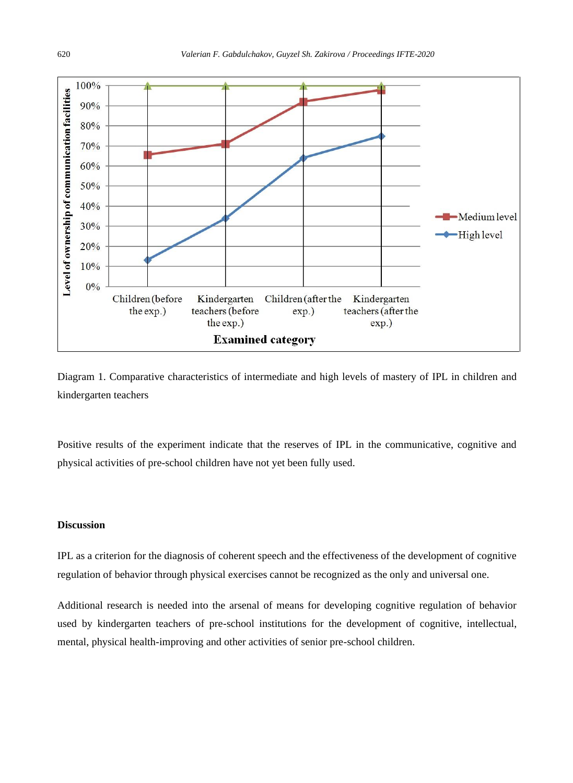



Positive results of the experiment indicate that the reserves of IPL in the communicative, cognitive and physical activities of pre-school children have not yet been fully used.

## **Discussion**

IPL as a criterion for the diagnosis of coherent speech and the effectiveness of the development of cognitive regulation of behavior through physical exercises cannot be recognized as the only and universal one.

Additional research is needed into the arsenal of means for developing cognitive regulation of behavior used by kindergarten teachers of pre-school institutions for the development of cognitive, intellectual, mental, physical health-improving and other activities of senior pre-school children.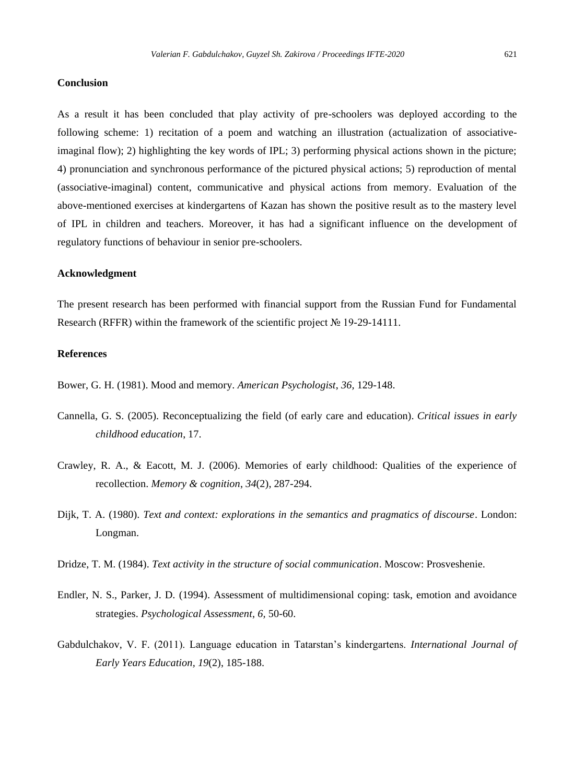#### **Conclusion**

As a result it has been concluded that play activity of pre-schoolers was deployed according to the following scheme: 1) recitation of a poem and watching an illustration (actualization of associativeimaginal flow); 2) highlighting the key words of IPL; 3) performing physical actions shown in the picture; 4) pronunciation and synchronous performance of the pictured physical actions; 5) reproduction of mental (associative-imaginal) content, communicative and physical actions from memory. Evaluation of the above-mentioned exercises at kindergartens of Kazan has shown the positive result as to the mastery level of IPL in children and teachers. Moreover, it has had a significant influence on the development of regulatory functions of behaviour in senior pre-schoolers.

#### **Acknowledgment**

The present research has been performed with financial support from the Russian Fund for Fundamental Research (RFFR) within the framework of the scientific project № 19-29-14111.

### **References**

Bower, G. H. (1981). Mood and memory. *American Psychologist*, *36,* 129-148.

- Cannella, G. S. (2005). Reconceptualizing the field (of early care and education). *Critical issues in early childhood education*, 17.
- Crawley, R. A., & Eacott, M. J. (2006). Memories of early childhood: Qualities of the experience of recollection. *Memory & cognition*, *34*(2), 287-294.
- Dijk, T. A. (1980). *Text and context: explorations in the semantics and pragmatics of discourse*. London: Longman.
- Dridze, T. M. (1984). *Text activity in the structure of social communication*. Moscow: Prosveshenie.
- Endler, N. S., Parker, J. D. (1994). Assessment of multidimensional coping: task, emotion and avoidance strategies. *Psychological Assessment*, *6,* 50-60.
- Gabdulchakov, V. F. (2011). Language education in Tatarstan's kindergartens. *International Journal of Early Years Education, 19*(2), 185-188.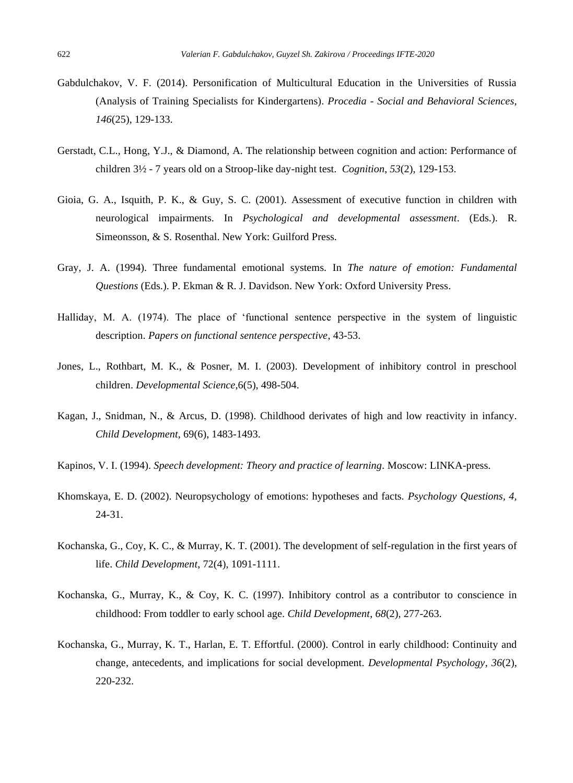- Gabdulchakov, V. F. (2014). Personification of Multicultural Education in the Universities of Russia (Analysis of Training Specialists for Kindergartens). *Procedia - Social and Behavioral Sciences*, *146*(25), 129-133.
- Gerstadt, C.L., Hong, Y.J., & Diamond, A. The relationship between cognition and action: Performance of children 3½ - 7 years old on a Stroop-like day-night test. *Cognition*, *53*(2), 129-153.
- Gioia, G. A., Isquith, P. K., & Guy, S. C. (2001). Assessment of executive function in children with neurological impairments. In *Psychological and developmental assessment*. (Eds.). R. Simeonsson, & S. Rosenthal. New York: Guilford Press.
- Gray, J. A. (1994). Three fundamental emotional systems. In *The nature of emotion: Fundamental Questions* (Eds.). P. Ekman & R. J. Davidson. New York: Oxford University Press.
- Halliday, M. A. (1974). The place of 'functional sentence perspective in the system of linguistic description. *Papers on functional sentence perspective*, 43-53.
- Jones, L., Rothbart, M. K., & Posner, M. I. (2003). Development of inhibitory control in preschool children. *Developmental Science*,6(5), 498-504.
- Kagan, J., Snidman, N., & Arcus, D. (1998). Childhood derivates of high and low reactivity in infancy*. Child Development*, 69(6), 1483-1493.
- Kapinos, V. I. (1994). *Speech development: Theory and practice of learning.* Moscow: LINKA-press.
- Khomskaya, E. D. (2002). Neuropsychology of emotions: hypotheses and facts. *Psychology Questions, 4,* 24-31.
- Kochanska, G., Coy, K. C., & Murray, K. T. (2001). The development of self-regulation in the first years of life. *Child Development*, 72(4), 1091-1111.
- Kochanska, G., Murray, K., & Coy, K. C. (1997). Inhibitory control as a contributor to conscience in childhood: From toddler to early school age. *Child Development*, *68*(2), 277-263.
- Kochanska, G., Murray, K. T., Harlan, E. T. Effortful. (2000). Control in early childhood: Continuity and change, antecedents, and implications for social development. *Developmental Psychology*, *36*(2), 220-232.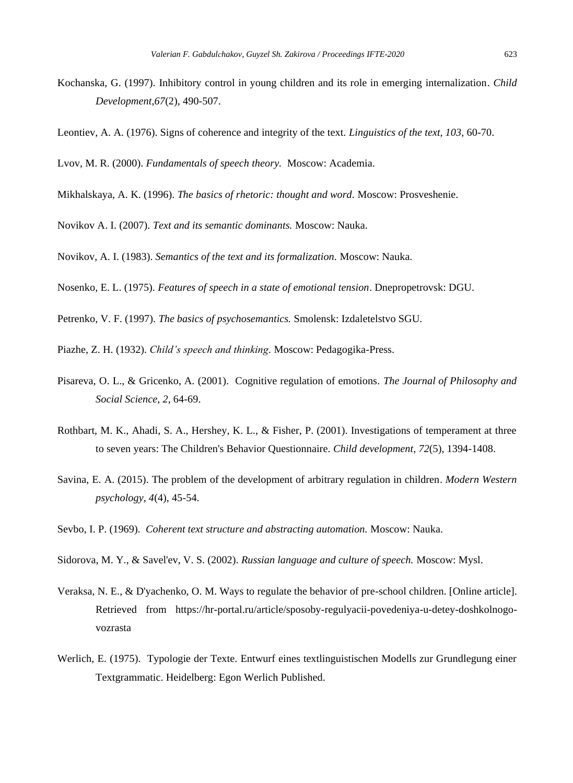- Kochanska, G. (1997). Inhibitory control in young children and its role in emerging internalization. *Child Development*,*67*(2), 490-507.
- Leontiev, A. A. (1976). Signs of coherence and integrity of the text. *Linguistics of the text, 103,* 60-70.

Lvov, M. R. (2000). *Fundamentals of speech theory.* Moscow: Academia.

- Mikhalskaya, A. K. (1996). *The basics of rhetoric: thought and word.* Moscow: Prosveshenie.
- Novikov A. I. (2007). *Text and its semantic dominants.* Moscow: Nauka.

Novikov, A. I. (1983). *Semantics of the text and its formalization.* Moscow: Nauka.

Nosenko, E. L. (1975). *Features of speech in a state of emotional tension*. Dnepropetrovsk: DGU.

Petrenko, V. F. (1997). *The basics of psychosemantics.* Smolensk: Izdaletelstvo SGU.

Piazhe, Z. H. (1932). *Child's speech and thinking.* Moscow: Pedagogika-Press.

- Pisareva, O. L., & Gricenko, A. (2001). Cognitive regulation of emotions. *The Journal of Philosophy and Social Science, 2,* 64-69.
- Rothbart, M. K., Ahadi, S. A., Hershey, K. L., & Fisher, P. (2001). Investigations of temperament at three to seven years: The Children's Behavior Questionnaire. *Child development*, *72*(5), 1394-1408.
- Savina, E. A. (2015). The problem of the development of arbitrary regulation in children. *Modern Western psychology, 4*(4), 45-54.

Sevbo, I. P. (1969). *Coherent text structure and abstracting automation.* Moscow: Nauka.

Sidorova, M. Y., & Savel'ev, V. S. (2002). *Russian language and culture of speech.* Moscow: Mysl.

- Veraksa, N. E., & D'yachenko, O. M. Ways to regulate the behavior of pre-school children. [Online article]. Retrieved from https://hr-portal.ru/article/sposoby-regulyacii-povedeniya-u-detey-doshkolnogovozrasta
- Werlich, E. (1975). Typologie der Texte. Entwurf eines textlinguistischen Modells zur Grundlegung einer Textgrammatic. Heidelberg: Egon Werlich Published.